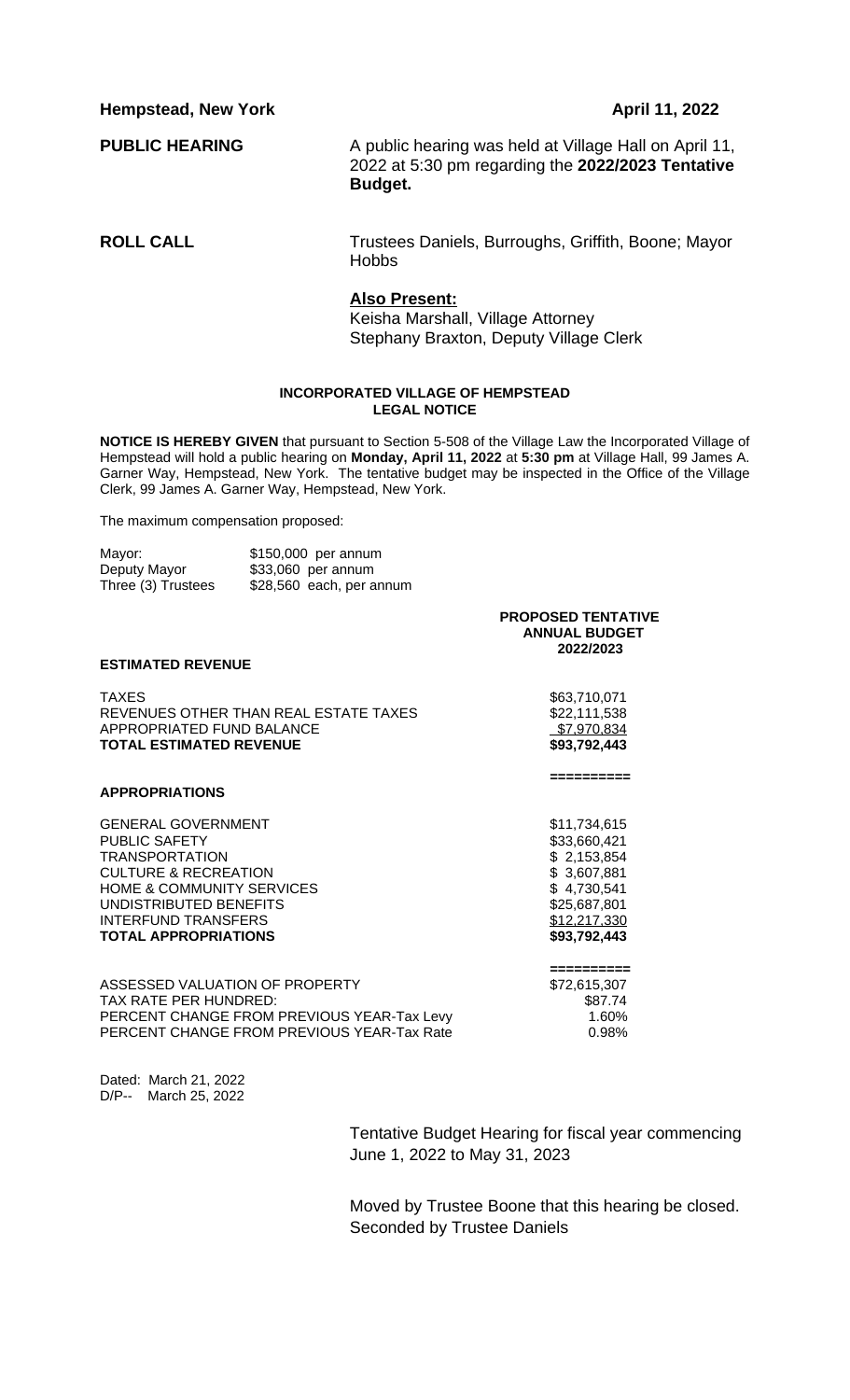**Hempstead, New York April 11, 2022** 

**PUBLIC HEARING** A public hearing was held at Village Hall on April 11, 2022 at 5:30 pm regarding the **2022/2023 Tentative Budget.**

**ROLL CALL** Trustees Daniels, Burroughs, Griffith, Boone; Mayor Hobbs

## **Also Present:**

Keisha Marshall, Village Attorney Stephany Braxton, Deputy Village Clerk

## **INCORPORATED VILLAGE OF HEMPSTEAD LEGAL NOTICE**

**NOTICE IS HEREBY GIVEN** that pursuant to Section 5-508 of the Village Law the Incorporated Village of Hempstead will hold a public hearing on **Monday, April 11, 2022** at **5:30 pm** at Village Hall, 99 James A. Garner Way, Hempstead, New York. The tentative budget may be inspected in the Office of the Village Clerk, 99 James A. Garner Way, Hempstead, New York.

The maximum compensation proposed:

| Mayor:             | \$150,000 per annum      |
|--------------------|--------------------------|
| Deputy Mayor       | \$33,060 per annum       |
| Three (3) Trustees | \$28,560 each, per annum |

|                                                                                                                                                                                                                                              | <b>PROPOSED TENTATIVE</b><br><b>ANNUAL BUDGET</b><br>2022/2023                                                            |
|----------------------------------------------------------------------------------------------------------------------------------------------------------------------------------------------------------------------------------------------|---------------------------------------------------------------------------------------------------------------------------|
| <b>ESTIMATED REVENUE</b>                                                                                                                                                                                                                     |                                                                                                                           |
| <b>TAXES</b><br>REVENUES OTHER THAN REAL ESTATE TAXES<br>APPROPRIATED FUND BALANCE<br><b>TOTAL ESTIMATED REVENUE</b>                                                                                                                         | \$63,710,071<br>\$22,111,538<br>\$7,970,834<br>\$93,792,443                                                               |
| <b>APPROPRIATIONS</b>                                                                                                                                                                                                                        | =========                                                                                                                 |
| <b>GENERAL GOVERNMENT</b><br><b>PUBLIC SAFETY</b><br><b>TRANSPORTATION</b><br><b>CULTURE &amp; RECREATION</b><br><b>HOME &amp; COMMUNITY SERVICES</b><br>UNDISTRIBUTED BENEFITS<br><b>INTERFUND TRANSFERS</b><br><b>TOTAL APPROPRIATIONS</b> | \$11,734,615<br>\$33,660,421<br>\$2,153,854<br>\$3,607,881<br>\$4,730,541<br>\$25,687,801<br>\$12,217,330<br>\$93,792,443 |
| ASSESSED VALUATION OF PROPERTY<br>TAX RATE PER HUNDRED:<br>PERCENT CHANGE FROM PREVIOUS YEAR-Tax Levy                                                                                                                                        | =========<br>\$72,615,307<br>\$87.74<br>1.60%                                                                             |

PERCENT CHANGE FROM PREVIOUS YEAR-Tax Rate  $0.98\%$ 

Dated: March 21, 2022 D/P-- March 25, 2022

> Tentative Budget Hearing for fiscal year commencing June 1, 2022 to May 31, 2023

> Moved by Trustee Boone that this hearing be closed. Seconded by Trustee Daniels